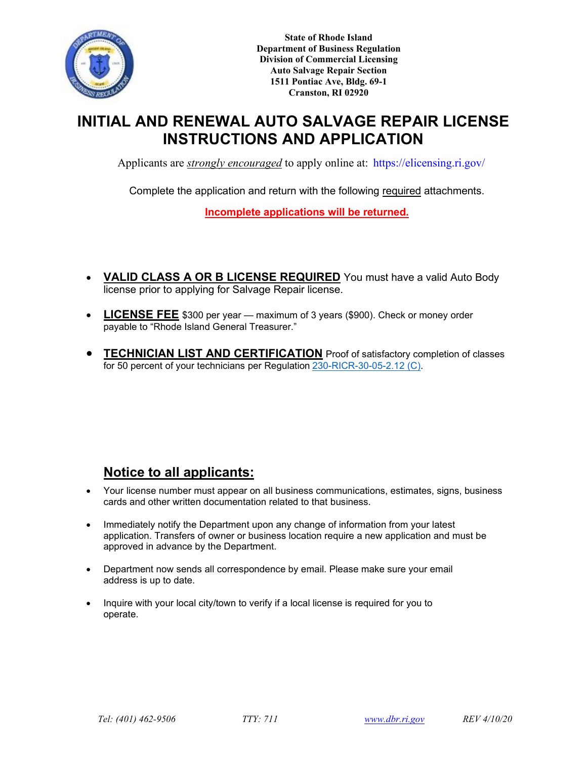

**State of Rhode Island Department of Business Regulation Division of Commercial Licensing Auto Salvage Repair Section 1511 Pontiac Ave, Bldg. 69-1 Cranston, RI 02920**

# **INITIAL AND RENEWAL AUTO SALVAGE REPAIR LICENSE INSTRUCTIONS AND APPLI[CATION](https://elicensing.ri.gov/)**

Applicants are *strongly encouraged* to apply online at: https://elicensing.ri.gov/

Complete the application and return with the following required attachments.

**Incomplete applications will be returned.**

- **VALID CLASS A OR B LICENSE REQUIRED** You must have a valid Auto Body license prior to applying for Salvage Repair license.
- **LICENSE FEE** \$300 per year maximum of 3 years (\$900). Check or money order payable to "Rhode Island General Treasurer."
- **TECHNICIAN LIST AND CERTIFICATION** Proof of satisfactory completion of classes for 50 percent of your technicians per Regulation [230-RICR-30-05-2.12](https://rules.sos.ri.gov/regulations/part/230-30-05-2) (C).

# **Notice to all applicants:**

- Your license number must appear on all business communications, estimates, signs, business cards and other written documentation related to that business.
- Immediately notify the Department upon any change of information from your latest application. Transfers of owner or business location require a new application and must be approved in advance by the Department.
- Department now sends all correspondence by email. Please make sure your email address is up to date.
- Inquire with your local city/town to verify if a local license is required for you to operate.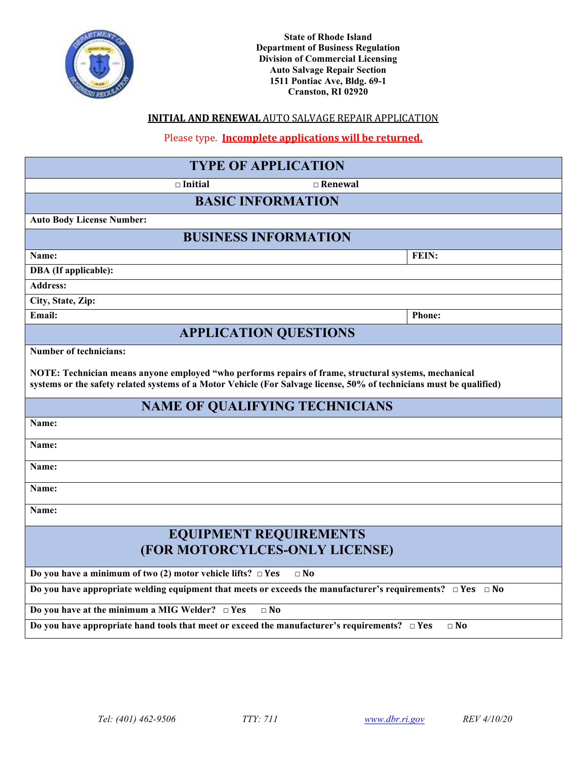

### **INITIAL AND RENEWAL** AUTO SALVAGE REPAIR APPLICATION

Please type. **Incomplete applications will be returned.**

# **TYPE OF APPLICATION □ Initial □ Renewal BASIC INFORMATION Auto Body License Number: BUSINESS INFORMATION** Name: FEIN: **DBA (If applicable): Address: City, State, Zip: Email: Phone: APPLICATION QUESTIONS Number of technicians: NOTE: Technician means anyone employed "who performs repairs of frame, structural systems, mechanical systems or the safety related systems of a Motor Vehicle (For Salvage license, 50% of technicians must be qualified) NAME OF QUALIFYING TECHNICIANS Name: Name: Name: Name: Name: EQUIPMENT REQUIREMENTS (FOR MOTORCYLCES-ONLY LICENSE) Do you have a minimum of two (2) motor vehicle lifts? □ Yes □ No Do you have appropriate welding equipment that meets or exceeds the manufacturer's requirements? □ Yes □ No Do you have at the minimum a MIG Welder? □ Yes □ No**

**Do you have appropriate hand tools that meet or exceed the manufacturer's requirements? □ Yes □ No**